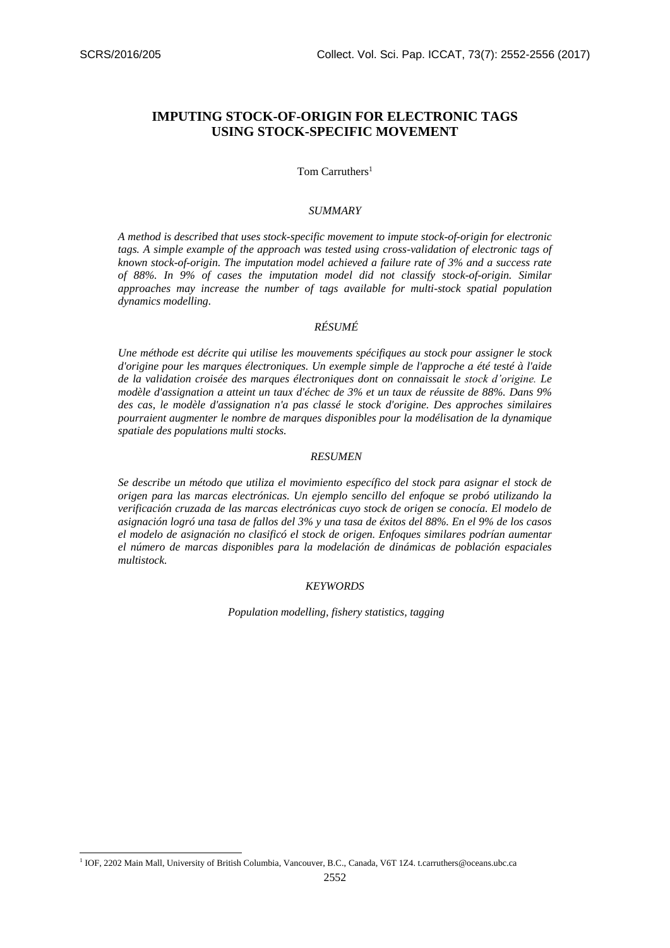-

# **IMPUTING STOCK-OF-ORIGIN FOR ELECTRONIC TAGS USING STOCK-SPECIFIC MOVEMENT**

Tom Carruthers<sup>1</sup>

#### *SUMMARY*

*A method is described that uses stock-specific movement to impute stock-of-origin for electronic tags. A simple example of the approach was tested using cross-validation of electronic tags of known stock-of-origin. The imputation model achieved a failure rate of 3% and a success rate of 88%. In 9% of cases the imputation model did not classify stock-of-origin. Similar approaches may increase the number of tags available for multi-stock spatial population dynamics modelling.* 

## *RÉSUMÉ*

*Une méthode est décrite qui utilise les mouvements spécifiques au stock pour assigner le stock d'origine pour les marques électroniques. Un exemple simple de l'approche a été testé à l'aide de la validation croisée des marques électroniques dont on connaissait le stock d'origine. Le modèle d'assignation a atteint un taux d'échec de 3% et un taux de réussite de 88%. Dans 9% des cas, le modèle d'assignation n'a pas classé le stock d'origine. Des approches similaires pourraient augmenter le nombre de marques disponibles pour la modélisation de la dynamique spatiale des populations multi stocks.* 

#### *RESUMEN*

*Se describe un método que utiliza el movimiento específico del stock para asignar el stock de origen para las marcas electrónicas. Un ejemplo sencillo del enfoque se probó utilizando la verificación cruzada de las marcas electrónicas cuyo stock de origen se conocía. El modelo de asignación logró una tasa de fallos del 3% y una tasa de éxitos del 88%. En el 9% de los casos el modelo de asignación no clasificó el stock de origen. Enfoques similares podrían aumentar el número de marcas disponibles para la modelación de dinámicas de población espaciales multistock.* 

## *KEYWORDS*

*Population modelling, fishery statistics, tagging*

<sup>&</sup>lt;sup>1</sup> IOF, 2202 Main Mall, University of British Columbia, Vancouver, B.C., Canada, V6T 1Z4. t.carruthers@oceans.ubc.ca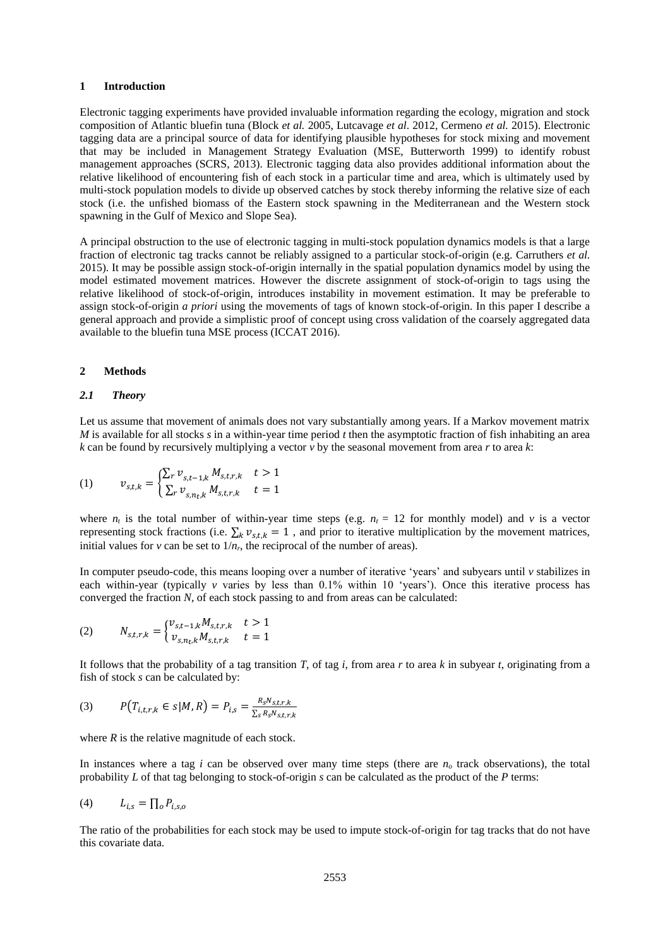#### **1 Introduction**

Electronic tagging experiments have provided invaluable information regarding the ecology, migration and stock composition of Atlantic bluefin tuna (Block *et al.* 2005, Lutcavage *et al*. 2012, Cermeno *et al.* 2015). Electronic tagging data are a principal source of data for identifying plausible hypotheses for stock mixing and movement that may be included in Management Strategy Evaluation (MSE, Butterworth 1999) to identify robust management approaches (SCRS, 2013). Electronic tagging data also provides additional information about the relative likelihood of encountering fish of each stock in a particular time and area, which is ultimately used by multi-stock population models to divide up observed catches by stock thereby informing the relative size of each stock (i.e. the unfished biomass of the Eastern stock spawning in the Mediterranean and the Western stock spawning in the Gulf of Mexico and Slope Sea).

A principal obstruction to the use of electronic tagging in multi-stock population dynamics models is that a large fraction of electronic tag tracks cannot be reliably assigned to a particular stock-of-origin (e.g. Carruthers *et al.* 2015). It may be possible assign stock-of-origin internally in the spatial population dynamics model by using the model estimated movement matrices. However the discrete assignment of stock-of-origin to tags using the relative likelihood of stock-of-origin, introduces instability in movement estimation. It may be preferable to assign stock-of-origin *a priori* using the movements of tags of known stock-of-origin. In this paper I describe a general approach and provide a simplistic proof of concept using cross validation of the coarsely aggregated data available to the bluefin tuna MSE process (ICCAT 2016).

#### **2 Methods**

#### *2.1 Theory*

Let us assume that movement of animals does not vary substantially among years. If a Markov movement matrix *M* is available for all stocks *s* in a within-year time period *t* then the asymptotic fraction of fish inhabiting an area *k* can be found by recursively multiplying a vector *v* by the seasonal movement from area *r* to area *k*:

(1) 
$$
v_{s,t,k} = \begin{cases} \sum_{r} v_{s,t-1,k} M_{s,t,r,k} & t > 1 \\ \sum_{r} v_{s,n_t,k} M_{s,t,r,k} & t = 1 \end{cases}
$$

where  $n_t$  is the total number of within-year time steps (e.g.  $n_t = 12$  for monthly model) and *v* is a vector representing stock fractions (i.e.  $\sum_k v_{s,t,k} = 1$ , and prior to iterative multiplication by the movement matrices, initial values for *v* can be set to  $1/n_r$ , the reciprocal of the number of areas).

In computer pseudo-code, this means looping over a number of iterative 'years' and subyears until *v* stabilizes in each within-year (typically *v* varies by less than 0.1% within 10 'years'). Once this iterative process has converged the fraction *N*, of each stock passing to and from areas can be calculated:

(2) 
$$
N_{s,t,r,k} = \begin{cases} v_{s,t-1,k} M_{s,t,r,k} & t > 1 \\ v_{s,n_t,k} M_{s,t,r,k} & t = 1 \end{cases}
$$

It follows that the probability of a tag transition *T*, of tag *i*, from area *r* to area *k* in subyear *t*, originating from a fish of stock *s* can be calculated by:

(3) 
$$
P(T_{i,t,r,k} \in s | M, R) = P_{i,s} = \frac{R_s N_{s,t,r,k}}{\sum_{s} R_s N_{s,t,r,k}}
$$

where  $R$  is the relative magnitude of each stock.

In instances where a tag *i* can be observed over many time steps (there are  $n<sub>o</sub>$  track observations), the total probability *L* of that tag belonging to stock-of-origin *s* can be calculated as the product of the *P* terms:

$$
(4) \qquad L_{i,s} = \prod_o P_{i,s,o}
$$

The ratio of the probabilities for each stock may be used to impute stock-of-origin for tag tracks that do not have this covariate data.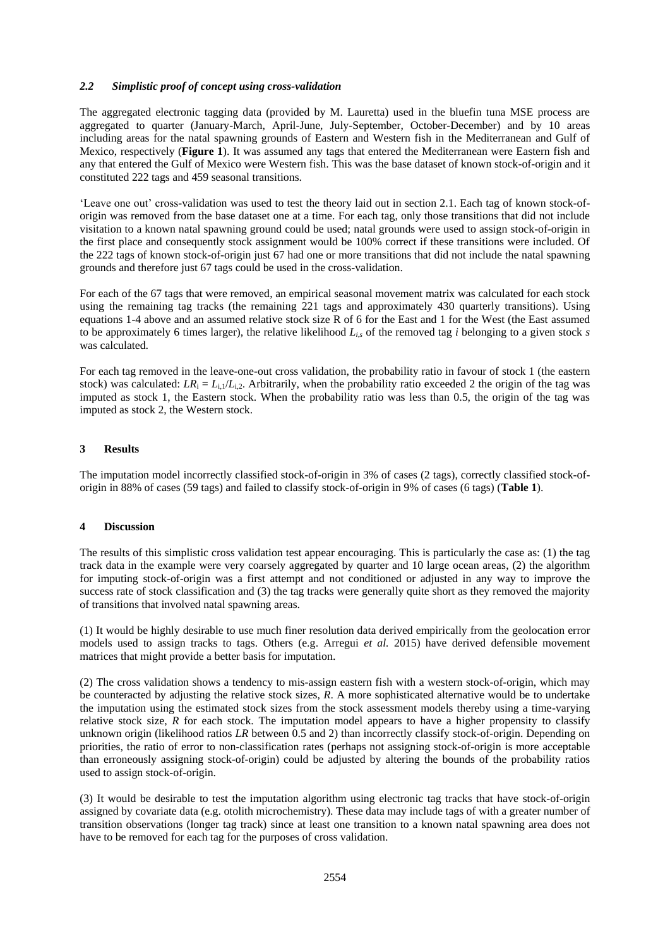## *2.2 Simplistic proof of concept using cross-validation*

The aggregated electronic tagging data (provided by M. Lauretta) used in the bluefin tuna MSE process are aggregated to quarter (January-March, April-June, July-September, October-December) and by 10 areas including areas for the natal spawning grounds of Eastern and Western fish in the Mediterranean and Gulf of Mexico, respectively (**Figure 1**). It was assumed any tags that entered the Mediterranean were Eastern fish and any that entered the Gulf of Mexico were Western fish. This was the base dataset of known stock-of-origin and it constituted 222 tags and 459 seasonal transitions.

'Leave one out' cross-validation was used to test the theory laid out in section 2.1. Each tag of known stock-oforigin was removed from the base dataset one at a time. For each tag, only those transitions that did not include visitation to a known natal spawning ground could be used; natal grounds were used to assign stock-of-origin in the first place and consequently stock assignment would be 100% correct if these transitions were included. Of the 222 tags of known stock-of-origin just 67 had one or more transitions that did not include the natal spawning grounds and therefore just 67 tags could be used in the cross-validation.

For each of the 67 tags that were removed, an empirical seasonal movement matrix was calculated for each stock using the remaining tag tracks (the remaining 221 tags and approximately 430 quarterly transitions). Using equations 1-4 above and an assumed relative stock size R of 6 for the East and 1 for the West (the East assumed to be approximately 6 times larger), the relative likelihood  $L_{i,s}$  of the removed tag *i* belonging to a given stock *s* was calculated.

For each tag removed in the leave-one-out cross validation, the probability ratio in favour of stock 1 (the eastern stock) was calculated:  $LR_i = L_{i,l}/L_{i,2}$ . Arbitrarily, when the probability ratio exceeded 2 the origin of the tag was imputed as stock 1, the Eastern stock. When the probability ratio was less than 0.5, the origin of the tag was imputed as stock 2, the Western stock.

## **3 Results**

The imputation model incorrectly classified stock-of-origin in 3% of cases (2 tags), correctly classified stock-oforigin in 88% of cases (59 tags) and failed to classify stock-of-origin in 9% of cases (6 tags) (**Table 1**).

#### **4 Discussion**

The results of this simplistic cross validation test appear encouraging. This is particularly the case as: (1) the tag track data in the example were very coarsely aggregated by quarter and 10 large ocean areas, (2) the algorithm for imputing stock-of-origin was a first attempt and not conditioned or adjusted in any way to improve the success rate of stock classification and (3) the tag tracks were generally quite short as they removed the majority of transitions that involved natal spawning areas.

(1) It would be highly desirable to use much finer resolution data derived empirically from the geolocation error models used to assign tracks to tags. Others (e.g. Arregui *et al.* 2015) have derived defensible movement matrices that might provide a better basis for imputation.

(2) The cross validation shows a tendency to mis-assign eastern fish with a western stock-of-origin, which may be counteracted by adjusting the relative stock sizes, *R*. A more sophisticated alternative would be to undertake the imputation using the estimated stock sizes from the stock assessment models thereby using a time-varying relative stock size,  $R$  for each stock. The imputation model appears to have a higher propensity to classify unknown origin (likelihood ratios *LR* between 0.5 and 2) than incorrectly classify stock-of-origin. Depending on priorities, the ratio of error to non-classification rates (perhaps not assigning stock-of-origin is more acceptable than erroneously assigning stock-of-origin) could be adjusted by altering the bounds of the probability ratios used to assign stock-of-origin.

(3) It would be desirable to test the imputation algorithm using electronic tag tracks that have stock-of-origin assigned by covariate data (e.g. otolith microchemistry). These data may include tags of with a greater number of transition observations (longer tag track) since at least one transition to a known natal spawning area does not have to be removed for each tag for the purposes of cross validation.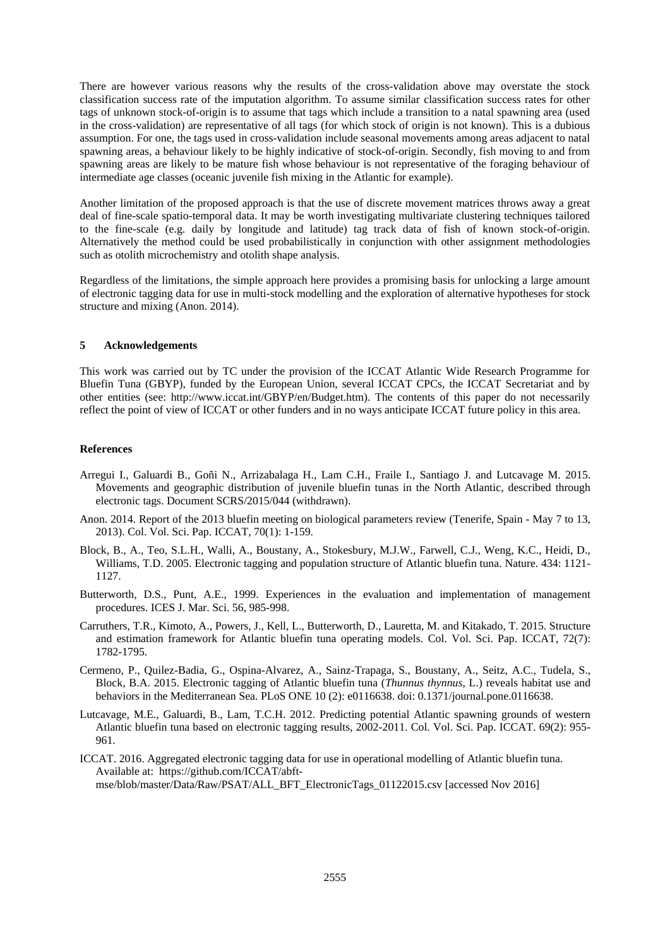There are however various reasons why the results of the cross-validation above may overstate the stock classification success rate of the imputation algorithm. To assume similar classification success rates for other tags of unknown stock-of-origin is to assume that tags which include a transition to a natal spawning area (used in the cross-validation) are representative of all tags (for which stock of origin is not known). This is a dubious assumption. For one, the tags used in cross-validation include seasonal movements among areas adjacent to natal spawning areas, a behaviour likely to be highly indicative of stock-of-origin. Secondly, fish moving to and from spawning areas are likely to be mature fish whose behaviour is not representative of the foraging behaviour of intermediate age classes (oceanic juvenile fish mixing in the Atlantic for example).

Another limitation of the proposed approach is that the use of discrete movement matrices throws away a great deal of fine-scale spatio-temporal data. It may be worth investigating multivariate clustering techniques tailored to the fine-scale (e.g. daily by longitude and latitude) tag track data of fish of known stock-of-origin. Alternatively the method could be used probabilistically in conjunction with other assignment methodologies such as otolith microchemistry and otolith shape analysis.

Regardless of the limitations, the simple approach here provides a promising basis for unlocking a large amount of electronic tagging data for use in multi-stock modelling and the exploration of alternative hypotheses for stock structure and mixing (Anon. 2014).

#### **5 Acknowledgements**

This work was carried out by TC under the provision of the ICCAT Atlantic Wide Research Programme for Bluefin Tuna (GBYP), funded by the European Union, several ICCAT CPCs, the ICCAT Secretariat and by other entities (see: http://www.iccat.int/GBYP/en/Budget.htm). The contents of this paper do not necessarily reflect the point of view of ICCAT or other funders and in no ways anticipate ICCAT future policy in this area.

## **References**

- Arregui I., Galuardi B., Goñi N., Arrizabalaga H., Lam C.H., Fraile I., Santiago J. and Lutcavage M. 2015. Movements and geographic distribution of juvenile bluefin tunas in the North Atlantic, described through electronic tags. Document SCRS/2015/044 (withdrawn).
- Anon. 2014. Report of the 2013 bluefin meeting on biological parameters review (Tenerife, Spain May 7 to 13, 2013). Col. Vol. Sci. Pap. ICCAT, 70(1): 1-159.
- Block, B., A., Teo, S.L.H., Walli, A., Boustany, A., Stokesbury, M.J.W., Farwell, C.J., Weng, K.C., Heidi, D., Williams, T.D. 2005. Electronic tagging and population structure of Atlantic bluefin tuna. Nature. 434: 1121- 1127.
- Butterworth, D.S., Punt, A.E., 1999. Experiences in the evaluation and implementation of management procedures. ICES J. Mar. Sci. 56, 985-998.
- Carruthers, T.R., Kimoto, A., Powers, J., Kell, L., Butterworth, D., Lauretta, M. and Kitakado, T. 2015. Structure and estimation framework for Atlantic bluefin tuna operating models. Col. Vol. Sci. Pap. ICCAT, 72(7): 1782-1795.
- Cermeno, P., Quilez-Badia, G., Ospina-Alvarez, A., Sainz-Trapaga, S., Boustany, A., Seitz, A.C., Tudela, S., Block, B.A. 2015. Electronic tagging of Atlantic bluefin tuna (*Thunnus thynnus*, L.) reveals habitat use and behaviors in the Mediterranean Sea. PLoS ONE 10 (2): e0116638. doi: 0.1371/journal.pone.0116638.
- Lutcavage, M.E., Galuardi, B., Lam, T.C.H. 2012. Predicting potential Atlantic spawning grounds of western Atlantic bluefin tuna based on electronic tagging results, 2002-2011. Col. Vol. Sci. Pap. ICCAT. 69(2): 955- 961.
- ICCAT. 2016. Aggregated electronic tagging data for use in operational modelling of Atlantic bluefin tuna. Available at: [https://github.com/ICCAT/abft](https://github.com/ICCAT/abft-mse/blob/master/Data/Raw/PSAT/ALL_BFT_ElectronicTags_01122015.csv)[mse/blob/master/Data/Raw/PSAT/ALL\\_BFT\\_ElectronicTags\\_01122015.csv](https://github.com/ICCAT/abft-mse/blob/master/Data/Raw/PSAT/ALL_BFT_ElectronicTags_01122015.csv) [accessed Nov 2016]